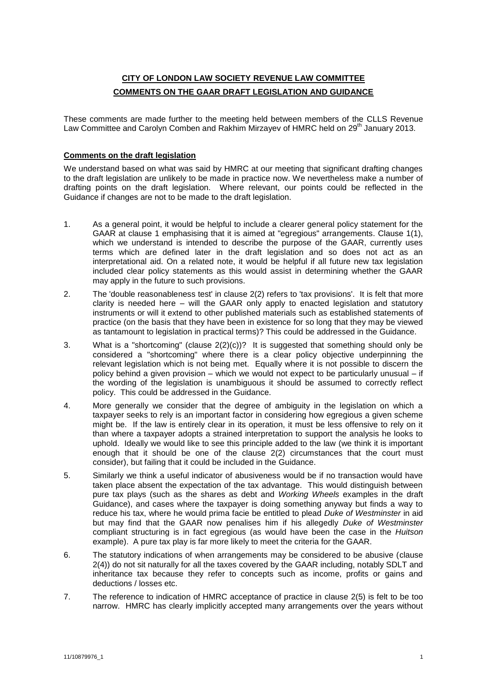## **CITY OF LONDON LAW SOCIETY REVENUE LAW COMMITTEE COMMENTS ON THE GAAR DRAFT LEGISLATION AND GUIDANCE**

These comments are made further to the meeting held between members of the CLLS Revenue Law Committee and Carolyn Comben and Rakhim Mirzayev of HMRC held on 29<sup>th</sup> January 2013.

## **Comments on the draft legislation**

We understand based on what was said by HMRC at our meeting that significant drafting changes to the draft legislation are unlikely to be made in practice now. We nevertheless make a number of drafting points on the draft legislation. Where relevant, our points could be reflected in the Guidance if changes are not to be made to the draft legislation.

- 1. As a general point, it would be helpful to include a clearer general policy statement for the GAAR at clause 1 emphasising that it is aimed at "egregious" arrangements. Clause 1(1), which we understand is intended to describe the purpose of the GAAR, currently uses terms which are defined later in the draft legislation and so does not act as an interpretational aid. On a related note, it would be helpful if all future new tax legislation included clear policy statements as this would assist in determining whether the GAAR may apply in the future to such provisions.
- 2. The 'double reasonableness test' in clause 2(2) refers to 'tax provisions'. It is felt that more clarity is needed here – will the GAAR only apply to enacted legislation and statutory instruments or will it extend to other published materials such as established statements of practice (on the basis that they have been in existence for so long that they may be viewed as tantamount to legislation in practical terms)? This could be addressed in the Guidance.
- 3. What is a "shortcoming" (clause  $2(2)(c)$ )? It is suggested that something should only be considered a "shortcoming" where there is a clear policy objective underpinning the relevant legislation which is not being met. Equally where it is not possible to discern the policy behind a given provision – which we would not expect to be particularly unusual – if the wording of the legislation is unambiguous it should be assumed to correctly reflect policy. This could be addressed in the Guidance.
- 4. More generally we consider that the degree of ambiguity in the legislation on which a taxpayer seeks to rely is an important factor in considering how egregious a given scheme might be. If the law is entirely clear in its operation, it must be less offensive to rely on it than where a taxpayer adopts a strained interpretation to support the analysis he looks to uphold. Ideally we would like to see this principle added to the law (we think it is important enough that it should be one of the clause 2(2) circumstances that the court must consider), but failing that it could be included in the Guidance.
- 5. Similarly we think a useful indicator of abusiveness would be if no transaction would have taken place absent the expectation of the tax advantage. This would distinguish between pure tax plays (such as the shares as debt and *Working Wheels* examples in the draft Guidance), and cases where the taxpayer is doing something anyway but finds a way to reduce his tax, where he would prima facie be entitled to plead *Duke of Westminster* in aid but may find that the GAAR now penalises him if his allegedly *Duke of Westminster* compliant structuring is in fact egregious (as would have been the case in the *Huitson* example). A pure tax play is far more likely to meet the criteria for the GAAR.
- 6. The statutory indications of when arrangements may be considered to be abusive (clause 2(4)) do not sit naturally for all the taxes covered by the GAAR including, notably SDLT and inheritance tax because they refer to concepts such as income, profits or gains and deductions / losses etc.
- 7. The reference to indication of HMRC acceptance of practice in clause 2(5) is felt to be too narrow. HMRC has clearly implicitly accepted many arrangements over the years without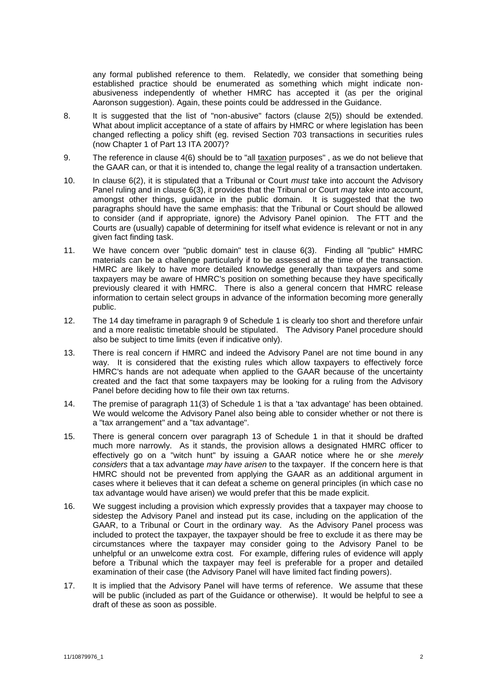any formal published reference to them. Relatedly, we consider that something being established practice should be enumerated as something which might indicate nonabusiveness independently of whether HMRC has accepted it (as per the original Aaronson suggestion). Again, these points could be addressed in the Guidance.

- 8. It is suggested that the list of "non-abusive" factors (clause 2(5)) should be extended. What about implicit acceptance of a state of affairs by HMRC or where legislation has been changed reflecting a policy shift (eg. revised Section 703 transactions in securities rules (now Chapter 1 of Part 13 ITA 2007)?
- 9. The reference in clause 4(6) should be to "all taxation purposes" , as we do not believe that the GAAR can, or that it is intended to, change the legal reality of a transaction undertaken.
- 10. In clause 6(2), it is stipulated that a Tribunal or Court *must* take into account the Advisory Panel ruling and in clause 6(3), it provides that the Tribunal or Court *may* take into account, amongst other things, guidance in the public domain. It is suggested that the two paragraphs should have the same emphasis: that the Tribunal or Court should be allowed to consider (and if appropriate, ignore) the Advisory Panel opinion. The FTT and the Courts are (usually) capable of determining for itself what evidence is relevant or not in any given fact finding task.
- 11. We have concern over "public domain" test in clause 6(3). Finding all "public" HMRC materials can be a challenge particularly if to be assessed at the time of the transaction. HMRC are likely to have more detailed knowledge generally than taxpayers and some taxpayers may be aware of HMRC's position on something because they have specifically previously cleared it with HMRC. There is also a general concern that HMRC release information to certain select groups in advance of the information becoming more generally public.
- 12. The 14 day timeframe in paragraph 9 of Schedule 1 is clearly too short and therefore unfair and a more realistic timetable should be stipulated. The Advisory Panel procedure should also be subject to time limits (even if indicative only).
- 13. There is real concern if HMRC and indeed the Advisory Panel are not time bound in any way. It is considered that the existing rules which allow taxpayers to effectively force HMRC's hands are not adequate when applied to the GAAR because of the uncertainty created and the fact that some taxpayers may be looking for a ruling from the Advisory Panel before deciding how to file their own tax returns.
- 14. The premise of paragraph 11(3) of Schedule 1 is that a 'tax advantage' has been obtained. We would welcome the Advisory Panel also being able to consider whether or not there is a "tax arrangement" and a "tax advantage".
- 15. There is general concern over paragraph 13 of Schedule 1 in that it should be drafted much more narrowly. As it stands, the provision allows a designated HMRC officer to effectively go on a "witch hunt" by issuing a GAAR notice where he or she *merely considers* that a tax advantage *may have arisen* to the taxpayer. If the concern here is that HMRC should not be prevented from applying the GAAR as an additional argument in cases where it believes that it can defeat a scheme on general principles (in which case no tax advantage would have arisen) we would prefer that this be made explicit.
- 16. We suggest including a provision which expressly provides that a taxpayer may choose to sidestep the Advisory Panel and instead put its case, including on the application of the GAAR, to a Tribunal or Court in the ordinary way. As the Advisory Panel process was included to protect the taxpayer, the taxpayer should be free to exclude it as there may be circumstances where the taxpayer may consider going to the Advisory Panel to be unhelpful or an unwelcome extra cost. For example, differing rules of evidence will apply before a Tribunal which the taxpayer may feel is preferable for a proper and detailed examination of their case (the Advisory Panel will have limited fact finding powers).
- 17. It is implied that the Advisory Panel will have terms of reference. We assume that these will be public (included as part of the Guidance or otherwise). It would be helpful to see a draft of these as soon as possible.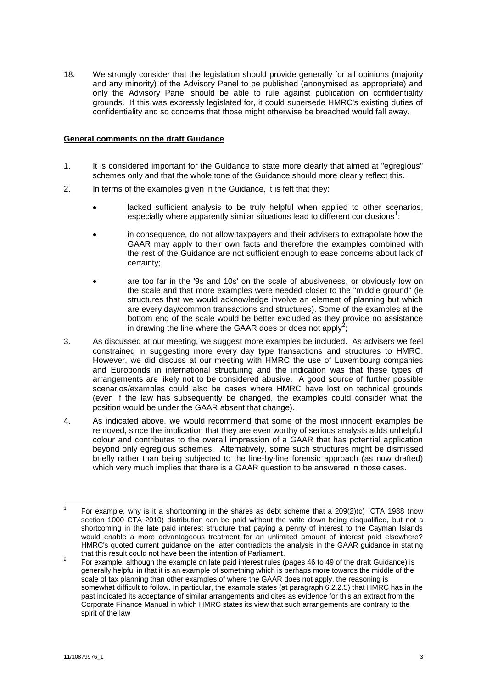18. We strongly consider that the legislation should provide generally for all opinions (majority and any minority) of the Advisory Panel to be published (anonymised as appropriate) and only the Advisory Panel should be able to rule against publication on confidentiality grounds. If this was expressly legislated for, it could supersede HMRC's existing duties of confidentiality and so concerns that those might otherwise be breached would fall away.

## **General comments on the draft Guidance**

- 1. It is considered important for the Guidance to state more clearly that aimed at "egregious" schemes only and that the whole tone of the Guidance should more clearly reflect this.
- 2. In terms of the examples given in the Guidance, it is felt that they:
	- lacked sufficient analysis to be truly helpful when applied to other scenarios, especially where apparently similar situations lead to different conclusions<sup>1</sup>;
	- in consequence, do not allow taxpayers and their advisers to extrapolate how the GAAR may apply to their own facts and therefore the examples combined with the rest of the Guidance are not sufficient enough to ease concerns about lack of certainty;
	- are too far in the '9s and 10s' on the scale of abusiveness, or obviously low on the scale and that more examples were needed closer to the "middle ground" (ie structures that we would acknowledge involve an element of planning but which are every day/common transactions and structures). Some of the examples at the bottom end of the scale would be better excluded as they provide no assistance in drawing the line where the GAAR does or does not apply<sup>2</sup>;
- 3. As discussed at our meeting, we suggest more examples be included. As advisers we feel constrained in suggesting more every day type transactions and structures to HMRC. However, we did discuss at our meeting with HMRC the use of Luxembourg companies and Eurobonds in international structuring and the indication was that these types of arrangements are likely not to be considered abusive. A good source of further possible scenarios/examples could also be cases where HMRC have lost on technical grounds (even if the law has subsequently be changed, the examples could consider what the position would be under the GAAR absent that change).
- 4. As indicated above, we would recommend that some of the most innocent examples be removed, since the implication that they are even worthy of serious analysis adds unhelpful colour and contributes to the overall impression of a GAAR that has potential application beyond only egregious schemes. Alternatively, some such structures might be dismissed briefly rather than being subjected to the line-by-line forensic approach (as now drafted) which very much implies that there is a GAAR question to be answered in those cases.

 1 For example, why is it a shortcoming in the shares as debt scheme that a 209(2)(c) ICTA 1988 (now section 1000 CTA 2010) distribution can be paid without the write down being disqualified, but not a shortcoming in the late paid interest structure that paying a penny of interest to the Cayman Islands would enable a more advantageous treatment for an unlimited amount of interest paid elsewhere? HMRC's quoted current guidance on the latter contradicts the analysis in the GAAR guidance in stating that this result could not have been the intention of Parliament.

 $\overline{2}$ For example, although the example on late paid interest rules (pages 46 to 49 of the draft Guidance) is generally helpful in that it is an example of something which is perhaps more towards the middle of the scale of tax planning than other examples of where the GAAR does not apply, the reasoning is somewhat difficult to follow. In particular, the example states (at paragraph 6.2.2.5) that HMRC has in the past indicated its acceptance of similar arrangements and cites as evidence for this an extract from the Corporate Finance Manual in which HMRC states its view that such arrangements are contrary to the spirit of the law